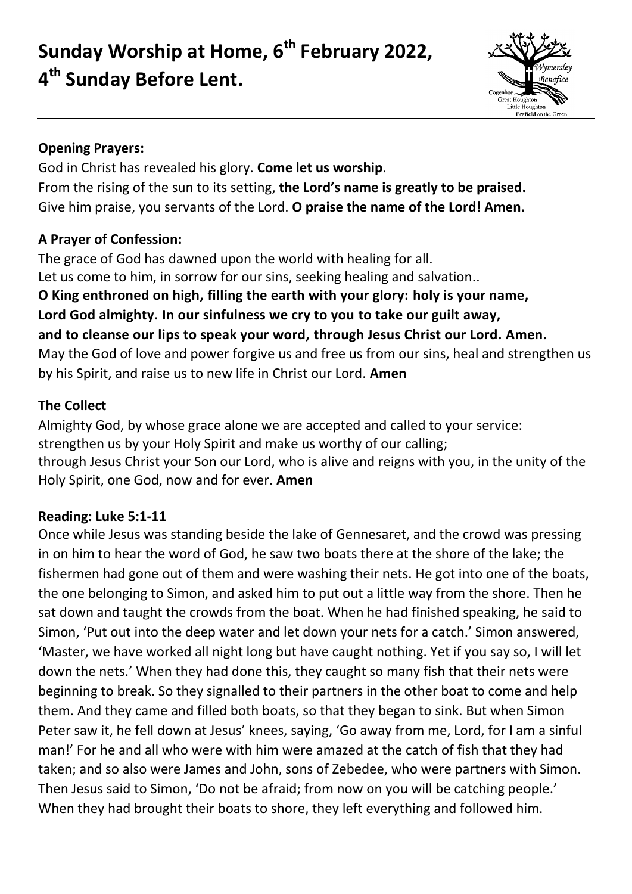# **Sunday Worship at Home, 6 th February 2022, 4 th Sunday Before Lent.**



### **Opening Prayers:**

God in Christ has revealed his glory. **Come let us worship**. From the rising of the sun to its setting, **the Lord's name is greatly to be praised.** Give him praise, you servants of the Lord. **O praise the name of the Lord! Amen.**

# **A Prayer of Confession:**

The grace of God has dawned upon the world with healing for all. Let us come to him, in sorrow for our sins, seeking healing and salvation.. **O King enthroned on high, filling the earth with your glory: holy is your name, Lord God almighty. In our sinfulness we cry to you to take our guilt away, and to cleanse our lips to speak your word, through Jesus Christ our Lord. Amen.**  May the God of love and power forgive us and free us from our sins, heal and strengthen us by his Spirit, and raise us to new life in Christ our Lord. **Amen**

# **The Collect**

Almighty God, by whose grace alone we are accepted and called to your service: strengthen us by your Holy Spirit and make us worthy of our calling; through Jesus Christ your Son our Lord, who is alive and reigns with you, in the unity of the Holy Spirit, one God, now and for ever. **Amen**

### **Reading: Luke 5:1-11**

Once while Jesus was standing beside the lake of Gennesaret, and the crowd was pressing in on him to hear the word of God, he saw two boats there at the shore of the lake; the fishermen had gone out of them and were washing their nets. He got into one of the boats, the one belonging to Simon, and asked him to put out a little way from the shore. Then he sat down and taught the crowds from the boat. When he had finished speaking, he said to Simon, 'Put out into the deep water and let down your nets for a catch.' Simon answered, 'Master, we have worked all night long but have caught nothing. Yet if you say so, I will let down the nets.' When they had done this, they caught so many fish that their nets were beginning to break. So they signalled to their partners in the other boat to come and help them. And they came and filled both boats, so that they began to sink. But when Simon Peter saw it, he fell down at Jesus' knees, saying, 'Go away from me, Lord, for I am a sinful man!' For he and all who were with him were amazed at the catch of fish that they had taken; and so also were James and John, sons of Zebedee, who were partners with Simon. Then Jesus said to Simon, 'Do not be afraid; from now on you will be catching people.' When they had brought their boats to shore, they left everything and followed him.